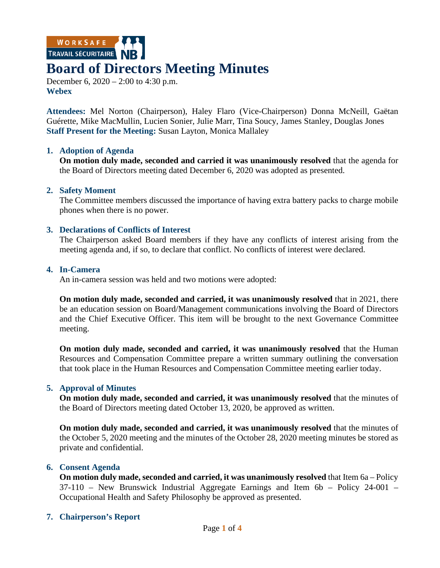WORKSAFE

# **Board of Directors Meeting Minutes**

December 6, 2020 – 2:00 to 4:30 p.m. **Webex**

**Attendees:** Mel Norton (Chairperson), Haley Flaro (Vice-Chairperson) Donna McNeill, Gaëtan Guérette, Mike MacMullin, Lucien Sonier, Julie Marr, Tina Soucy, James Stanley, Douglas Jones **Staff Present for the Meeting:** Susan Layton, Monica Mallaley

### **1. Adoption of Agenda**

**On motion duly made, seconded and carried it was unanimously resolved** that the agenda for the Board of Directors meeting dated December 6, 2020 was adopted as presented.

## **2. Safety Moment**

The Committee members discussed the importance of having extra battery packs to charge mobile phones when there is no power.

## **3. Declarations of Conflicts of Interest**

The Chairperson asked Board members if they have any conflicts of interest arising from the meeting agenda and, if so, to declare that conflict. No conflicts of interest were declared.

### **4. In-Camera**

An in-camera session was held and two motions were adopted:

**On motion duly made, seconded and carried, it was unanimously resolved** that in 2021, there be an education session on Board/Management communications involving the Board of Directors and the Chief Executive Officer. This item will be brought to the next Governance Committee meeting.

**On motion duly made, seconded and carried, it was unanimously resolved** that the Human Resources and Compensation Committee prepare a written summary outlining the conversation that took place in the Human Resources and Compensation Committee meeting earlier today.

## **5. Approval of Minutes**

**On motion duly made, seconded and carried, it was unanimously resolved** that the minutes of the Board of Directors meeting dated October 13, 2020, be approved as written.

**On motion duly made, seconded and carried, it was unanimously resolved** that the minutes of the October 5, 2020 meeting and the minutes of the October 28, 2020 meeting minutes be stored as private and confidential.

### **6. Consent Agenda**

**On motion duly made, seconded and carried, it was unanimously resolved** that Item 6a – Policy 37-110 – New Brunswick Industrial Aggregate Earnings and Item 6b – Policy 24-001 – Occupational Health and Safety Philosophy be approved as presented.

## **7. Chairperson's Report**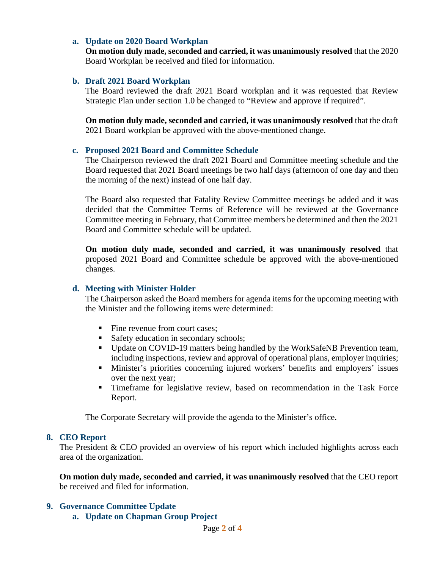## **a. Update on 2020 Board Workplan**

**On motion duly made, seconded and carried, it was unanimously resolved** that the 2020 Board Workplan be received and filed for information.

## **b. Draft 2021 Board Workplan**

The Board reviewed the draft 2021 Board workplan and it was requested that Review Strategic Plan under section 1.0 be changed to "Review and approve if required".

**On motion duly made, seconded and carried, it was unanimously resolved** that the draft 2021 Board workplan be approved with the above-mentioned change.

### **c. Proposed 2021 Board and Committee Schedule**

The Chairperson reviewed the draft 2021 Board and Committee meeting schedule and the Board requested that 2021 Board meetings be two half days (afternoon of one day and then the morning of the next) instead of one half day.

The Board also requested that Fatality Review Committee meetings be added and it was decided that the Committee Terms of Reference will be reviewed at the Governance Committee meeting in February, that Committee members be determined and then the 2021 Board and Committee schedule will be updated.

**On motion duly made, seconded and carried, it was unanimously resolved** that proposed 2021 Board and Committee schedule be approved with the above-mentioned changes.

## **d. Meeting with Minister Holder**

The Chairperson asked the Board members for agenda items for the upcoming meeting with the Minister and the following items were determined:

- Fine revenue from court cases;
- Safety education in secondary schools;
- Update on COVID-19 matters being handled by the WorkSafeNB Prevention team, including inspections, review and approval of operational plans, employer inquiries;
- Minister's priorities concerning injured workers' benefits and employers' issues over the next year;
- Timeframe for legislative review, based on recommendation in the Task Force Report.

The Corporate Secretary will provide the agenda to the Minister's office.

### **8. CEO Report**

The President & CEO provided an overview of his report which included highlights across each area of the organization.

**On motion duly made, seconded and carried, it was unanimously resolved** that the CEO report be received and filed for information.

### **9. Governance Committee Update**

**a. Update on Chapman Group Project**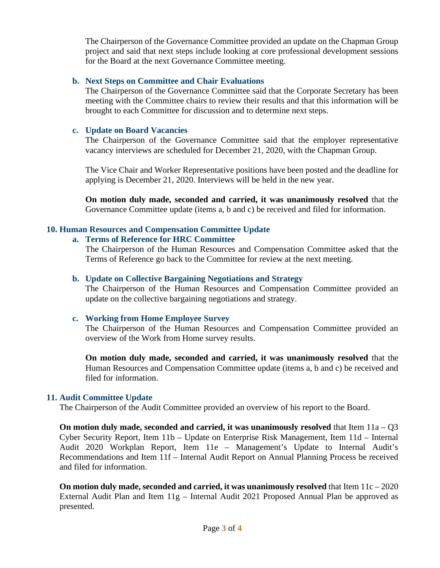The Chairperson of the Governance Committee provided an update on the Chapman Group project and said that next steps include looking at core professional development sessions for the Board at the next Governance Committee meeting.

## **b. Next Steps on Committee and Chair Evaluations**

The Chairperson of the Governance Committee said that the Corporate Secretary has been meeting with the Committee chairs to review their results and that this information will be brought to each Committee for discussion and to determine next steps.

# **c. Update on Board Vacancies**

The Chairperson of the Governance Committee said that the employer representative vacancy interviews are scheduled for December 21, 2020, with the Chapman Group.

The Vice Chair and Worker Representative positions have been posted and the deadline for applying is December 21, 2020. Interviews will be held in the new year.

**On motion duly made, seconded and carried, it was unanimously resolved** that the Governance Committee update (items a, b and c) be received and filed for information.

# **10. Human Resources and Compensation Committee Update**

# **a. Terms of Reference for HRC Committee**

The Chairperson of the Human Resources and Compensation Committee asked that the Terms of Reference go back to the Committee for review at the next meeting.

# **b. Update on Collective Bargaining Negotiations and Strategy**

The Chairperson of the Human Resources and Compensation Committee provided an update on the collective bargaining negotiations and strategy.

# **c. Working from Home Employee Survey**

The Chairperson of the Human Resources and Compensation Committee provided an overview of the Work from Home survey results.

**On motion duly made, seconded and carried, it was unanimously resolved** that the Human Resources and Compensation Committee update (items a, b and c) be received and filed for information.

# **11. Audit Committee Update**

The Chairperson of the Audit Committee provided an overview of his report to the Board.

**On motion duly made, seconded and carried, it was unanimously resolved** that Item 11a – Q3 Cyber Security Report, Item 11b – Update on Enterprise Risk Management, Item 11d – Internal Audit 2020 Workplan Report, Item 11e – Management's Update to Internal Audit's Recommendations and Item 11f – Internal Audit Report on Annual Planning Process be received and filed for information.

**On motion duly made, seconded and carried, it was unanimously resolved** that Item 11c – 2020 External Audit Plan and Item 11g – Internal Audit 2021 Proposed Annual Plan be approved as presented.